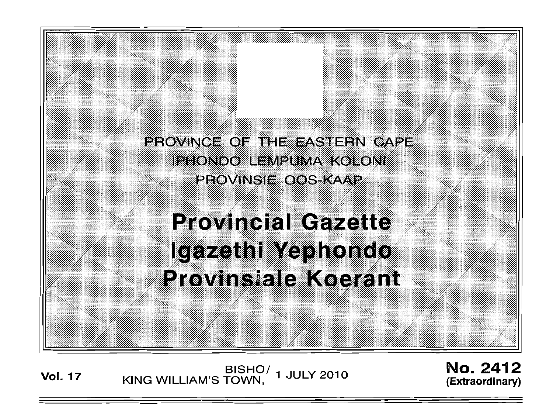PROVINCE OF THE EASTERN CAPE **IPHONDO LEMPUMA KOLONI PROVINSIE OOS KAAP** 

**Provincial Gazette** Igazethi Yephondo Provinsiale Koerant

BISHO/ 1 JULY 2010<br>KING WILLIAM'S TOWN, **Vol. 17** 

No. 2412 (Extraordinary)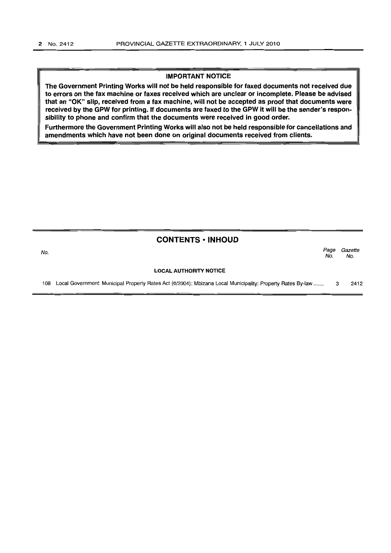#### IMPORTANT NOTICE

The Government Printing Works will not be held responsible for faxed documents not received due to errors on the fax machine or faxes received which are unclear or incomplete. Please be advised that an "OK" slip, received from a fax machine, will not be accepted as proof that documents were received by the GPW for printing. If documents are faxed to the GPW it will be the sender's responsibility to phone and confirm that the documents were received in good order.

Furthermore the Government Printing Works will also not be held responsible for cancellations and amendments which have not been done on original documents received from clients.

### CONTENTS ·INHOUD

No. *Page Gazette*  No. No.

#### LOCAL AUTHORITY NOTICE

108 Local Government: Municipal Property Rates Act (6/2004): Mbizana Local Municipality: Property Rates By-law ...... . 3 2412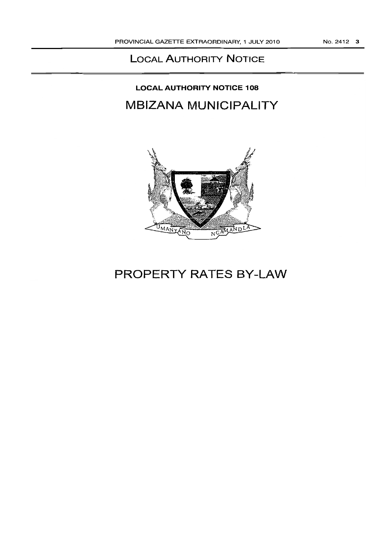### **LOCAL AUTHORITY NOTICE**

# **LOCAL AUTHORITY NOTICE 108 MBIZANA MUNICIPALITY**



# **PROPERTY RATES BY-LAW**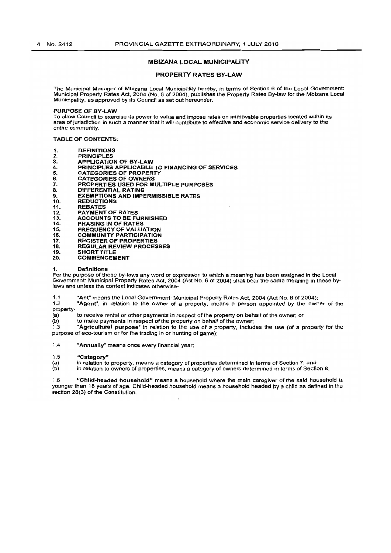#### MBIZANA LOCAL MUNICIPALITY

#### PROPERTY RATES BY-LAW

The Municipal Manager of Mbizana Local Municipality hereby, in terms of Section 6 of the local Government: Municipal Property Rates Act, 2004 (No.6 of 2004), publishes the Property Rates By~law for the Mbizana Local Municipality, as approved by its Council as set out hereunder.

#### PURPOSE OF BY-LAW

To allow Council to exercise its power to value and impose rates on immovable properties located within its area of jurisdiction in such a manner that it will contribute to effective and economic service delivery to the entire community.

#### TABLE OF CONTENTS;

- 1. DEFINITIONS<br>2. PRINCIPLES
- 2. PRINCIPLES<br>3. APPLICATIO
- 3. APPLICATION OF BY-LAW<br>4. PRINCIPLES APPLICABLE 4. PRINCIPLES APPLICABLE TO FINANCING OF SERVICES
- 5. CATEGORIES OF PROPERTY
- 6. CATEGORIES OF OWNERS<br>7. PROPERTIES USED FOR M
- 7. PROPERTIES USED FOR MULTIPLE PURPOSES<br>8. DIFFERENTIAL RATING
- 8. DIFFERENTIAL RATING<br>9. EXEMPTIONS AND IMPE
- 9. **EXEMPTIONS AND IMPERMISSIBLE RATES**<br>10. REDUCTIONS
- 10, REDUCTIONS<br>11. REBATES
- 11. REBATES<br>12. PAYMENT
- 12. PAYMENT OF RATES<br>13. ACCOUNTS TO BE FL
- 13. ACCOUNTS TO BE FURNISHED
- 14. PHASING IN OF RATES
- 15. FREQUENCY OF VALUATION 16. COMMUNITY PARTICIPATION
- 
- 17. REGISTER OF PROPERTIES<br>18. REGIJI AR REVIEW PROCES 18. REGULAR REVIEW PROCESSES
- 
- 19. SHORT TITLE **COMMENCEMENT**

#### 1. Definitions

For the purpose of these by-laws any word or expression to which a meaning has been assigned in the Local Government: Municipal Property Rates Act, 2004 (Act NO.6 of 2004) shall bear the same meaning in these bylaws and unless the context indicates otherwise-

1.1  $A$  \* Act" means the Local Government: Municipal Property Rates Act, 2004 (Act No. 6 of 2004);<br>1.2  $A$  and the prelation to the owner of a property means a person appointed by the own

"Agent", in relation to the owner of a property, means a person appointed by the owner of the property-<br>(a)

- (a) to receive rental or other payments in respect of the property on behalf of the owner; or  $(b)$  to make payments in respect of the property on behalf of the owner;
- $\begin{array}{lll} \text{(b)} & \text{to make payments in respect of the property on behalf of the owner;} \\ \text{1.3} & \text{``Agricultural purpose'' in relation to the use of a property in child.} \end{array}$

1.3 "Agricultural purpose" in relation to the use of a property, includes the use (of a property for the purpose of eco-tourism or for the trading in or hunting of game);

1.4 "Annually" means once every financial year;

## 1.5 "Category"<br>(a) in relation to

(a) In relation to property, means a category of properties determined in terms of Section 7; and<br>(b) In relation to owners of properties, means a category of owners determined in terms of Section

in relation to owners of properties, means a category of owners determined in terms of Section 8.

1.6 "Child-headed household" means a household where the main caregiver of the said household is younger than 18 years of age. Child-headed household means a household headed by a child as defined in the section 28(3) of the Constitution.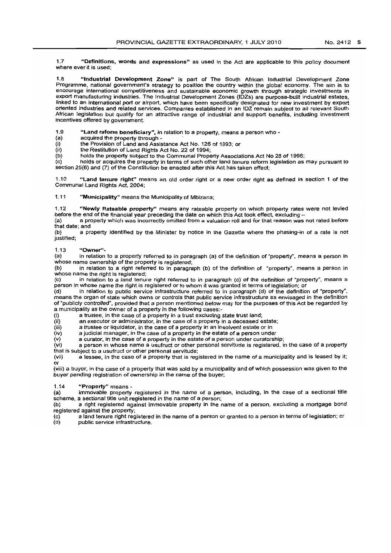1.7 "Definitions, words and expressions" as used in the Act are applicable to this policy document where ever it is used;

1.8 "Industrial Development Zone" is part of The South African Industria! Development Zona Programme, national government's strategy to position the country within the globat economy. The aim is to encourage international competitiveness and sustainable economic growth through strategic investments in export manufacturing industries. The Industria! Development Zones (IDZs) are purpose-built industrial estates, linked 10 an International port or airport, which have been specifically designated for new investment by export oriented industries and related services. Companies established in an fDZ remain subject to all relevant South African legislation but qualify for an attractive range of industrial and support benefits. including investment incentives offered by government.

1.9 "Land reform beneficiary", in relation to a property, means a person who -  $\langle a \rangle$ 

(a) acquired the property through -<br>(i) the Provision of Land and Assis

 $(i)$  the Provision of Land and Assistance Act No. 126 of 1993; or  $(ii)$  the Restitution of Land Rights Act No. 22 of 1994:

 $\langle$ ii) the Restitution of Land Rights Act No. 22 of 1994;<br>(b) holds the property subject to the Communal Prope

(b) holds the property subject to the Communal Property Associations Act No 28 of 1996;<br>(c) holds or acquires the property in terms of such other land tenure reform legislation as

holds or acquires the property in terms of such other land tenure reform legislation as may pursuant to section 25(6) and (7) of the Constitution be enacted after this Act has taken effect;

1.10 "Land tenure right" means an old order right or a new order fight as defined in section 1 of the Communal Land Rights Act, 2004;

1.11 "Municipality" means the Municipality of Mbizana;

1.12 "Newly Rateable property" means any rateable property on which property rates were not levied before the end of the financial year preceding the date on which this Act took effect. excluding -

(a) a property which was Incorrectly omitted from a valuation roil and for that reason was not fated before that date; and

(b) a property identified by the Minister by notice in the Gazette where the phasing-in of a rate is not justified;

1.13 "Owner"-<br>(a) in relation

in relation to a property referred to in paragraph (a) of the definition of "property", means a person in whose name ownership of the property is registered;<br>(b) in relation to a right referred to in paragra

in relation to a right referred to in paragraph (b) of the definition of "property", means a person in whose name the right is registered;

(c) in relation to a land tenure right referred to in paragraph (c) of the definition of "property", means a person in whose name the right is registered or to whom it was granted in terms of legislation; or<br>(d) in relation to public service infrastructure referred to in paragraph (d) of the definition

in relation to public service infrastructure referred to in paragraph (d) of the definition of "property", means the organ of state which owns or controls that public service infrastructure as envisaged in the definition of 'publicly controlled", provided that a person mentioned below may for the purposes of this Act be regarded by a municipality as the owner of a property in the following cases:-

(i) a trustee, in the case of a property in a trust excluding state trust land;<br>(ii) an executor or administrator, in the case of a property in a deceased e

 $(i)$  an executor or administrator, in the case of a property in a deceased estate;<br> $(iii)$  a trustee or liquidator, in the case of a property in an insolvent estate or in (iii) a trustee or liquidator, in the case of a property in an insolvent estate or in<br>(iv) a judicial manager, in the case of a property in the estate of a person under

 $\langle \mathbf{u} \rangle$  a judicial manager, in the case of a property in the estate of a person under curatorsh  $\langle \mathbf{v} \rangle$  a curator, in the case of a property in the estate of a person under curatorsh

 $\langle v \rangle$  a curator, in the case of a property in the estate of a person under curatorship;<br> $\langle v \rangle$  a person in whose name a usufruct or other personal servitude is registered, in a person in whose name a usufruct or other personal servitude is registered, in the case of a property

that is subject to a usufruct or other personal servitude;<br>(vii) a lessee, in the case of a property that is req a lessee. In the case of a property that is registered in the name of a municipality and is leased by it; or

(viii) a buyer, in the case of a property that was sold by a municipality and of which possession was given to the buyer pending registration of ownership in the name of the buyer;

1.14 "Property" means -<br>(a) immovable property

(a) immovable property registered in the name of a person, including, in the case of a sectional title scheme a sectional title scheme, a sectional title unit registered in the name of a person;<br>(b) a right registered against immovable property in the r

a right registered against immovable property in the name of a person, excluding a mortgage bond registered against the property;

(c) a land tenure right registered in the name of a person or granted to a person in terms of legislation; or public service infrastructure.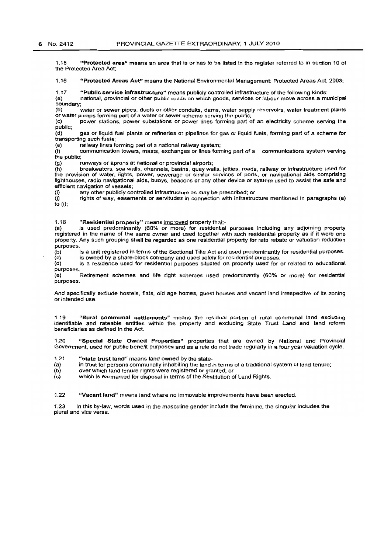1.15 "Protected area" means an area that is or has to be listed in the register referred to in section 10 of the Protected Area Act;

1.16 "Protected Areas Act" means the National Environmental Management: Protected Areas Act, 2003;

1.17 "Public service infrastructure" means publicly controlled infrastructure of the following kinds:<br>(a) an ational, provincial or other public roads on which goods, services or labour move across a mu

(a) national, provincial or other public roads on which goods, services or labour move across a municipal boundary;

(b) water or sewer pipes. ducts or other conduits, dams. water supply reservoirs, water treatment plants or water pumps forming part of a water or sewer scheme serving the public;<br>(c) power stations, power substations or power lines forming part of

power stations, power substations or power lines forming part of an electricity scheme serving the public;<br>(d)

gas or liquid fuel plants or refineries or pipelines for gas or liquid fuels, forming part of a scheme for transporting such fuels;

(e) railway lines forming part of a national railway system;<br>(f) communication towers, masts, exchanges or lines form

communication towers, masts, exchanges or lines forming part of a communications system serving the public;

(g) runways or aprons at national or provincial airports;

(M) breakwaters, sea walls, channels, basins, quay walls, jetties, roads. railway or infrastructure used for the provision of water. lights, power, sewerage or similar services of ports, or navigational aids comprising lighthouses. radio navigational aids, buoys, beacons or any other device or system used to assist the safe and efficient navigation of vessels;<br>(i) any other publicly com-

(i) any other publicly controlled infrastructure as may be prescribed; or rights of way, easements or servitudes in connection with infrastructure mentioned in paragraphs (a) to (i);

1.1 a .. Residential property" means improved property that is used predominantly (60% or more) for residential purposes including any adjoining property registered in the name of the same owner and used together with such residential property as If it were one property. Any such grouping shall be regarded as one residential property for rate rebate or valuatlon reduction purposes.

(b) is a unit registered in terms of the Sectional Title Act and used predominantly for residential purposes.

(c) Is owned by a share-block company and used solely for residential purposes.<br>(d) Is a residence used for residential purposes situated on property used for Is a residence used for residential purposes situated on property used for or related to educational purposes.

(e} Retirement schemes and life right schemes used predominantly (60% or more) for residential purposes.

And specifically exclude hostels, flats. old age homes, guest houses and vacant land irrespective of its zoning or intended use.

1.19 "Rural communal settlements" means the residual portion of rural communal land excluding identifiable and rateable entitles within the property and excluding State Trust Land and land reform beneficiaries as defined in the Act.

1.20 "Special State Owned Properties" properties that are owned by National and Provincial Government, used for public benefit purposes and as a rule do not trade regularly in a four year valuation cycle.

1.21 "state trust land" means land owned by the state-<br>(a) in trust for persons communally inhabiting the land (a) in trust for persons communally inhabiting the land in terms of a traditional system of land tenure;<br>(b) over which land tenure rights were registered or granted; or

(b) over which land tenure rights were registered or granted; or<br>(c) which is earmarked for disposal in terms of the Restitution of

which is earmarked for disposal in terms of the Restitution of Land Rights.

1.22 "Vacant land" means land where no immovable improvements have been erected.

1.23 In this by-law, words used in the masCtlline gender include the feminine, the singular includes the plural and vice versa.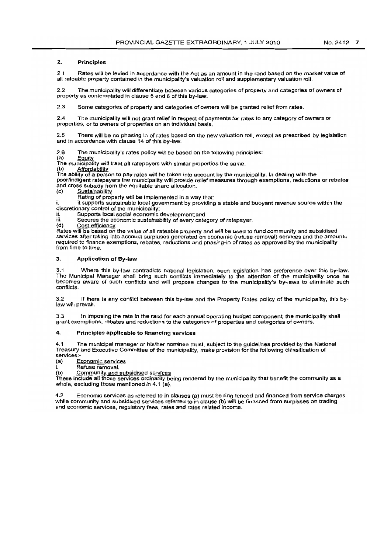#### 2. Principles

2.1 Rates will be levied in accordance with the Act as an amount in the rand based on the market value of alt rateable property contained in the municipality's valuation roll and supplementary valuation roll.

2.2 The municipality will differentiate between various categories of property and categories of owners of property as contemplated in clause 5 and 6 of this by-law.

2.3 Some categories of property and categories of owners will be granted relief from rates.

2.4 The municipality will not grant relief in respect of payments for rates to any category of owners or properties, or to owners of properties on an individual basis.

2.5 There will be no phasing in of rates based on the new valuation roll. except as prescribed by legislation and in accordance with clause 14 of this by-law.

2.6 The municipality's rates policy will be based on the following principles:

(a) Equity

The municipality will treat all ratepayers with similar properties the same.<br>(b) Affordability

The ability of a person to pay rates will be taken into account by the municipality. In dealing with the poorlindigent ratepayers the municipality will provide relief measures through exemptions. reductions or rebates and cross subsidy from the equitable share allocation.<br>(c) Sustainability

Sustainability

Rating of property will be implemented in a way that:

it supports sustainable local government by providing a stable and buoyant revenue source within the discretionary control of the municipality;

ii. Supports local social economic development;and

H. Secures the economic sustainability of every category of ratepayer.<br>(d) Cost efficiency

Cost efficiency

Rates will be based on the value of all rateable property and will be used to fund community and subsidised services after taking into account surpluses generated on economic (refuse removal) services and the amounts required to finance exemptions, rebates, reductions and phasing-in of rates as approved by the municipality from time to time.

#### 3. Application of By-law

3.1 Where this by-law contradicts national legislation, such legislation has preference over this by-law. The Municipal Manager shall bring such conflicts immediately to the attention of the municipality once he becomes aware of such conflicts and will propose changes to the municipality's by-laws to eliminate such conflicts.

3.2 If there is any conflict between this by-law and the Property Rates policy of the municipality, this bylaw will prevail.

3.3 In imposing the rata in the rand for each annual operating budget component, the municipality shall grant exemptions, rebates and reductions to the categories of properties and categories of owners.

#### 4. PrinCiples applicable to financing services

4.1 The municipal manager or hislher nominee must, subject to the guidelines provided by the National Treasury and Executive Committee of the municipalfty, make provision for the following classification of services:-

(a) Economic services

i. Refuse removal.<br>(b) Community and s Community and subsidised services

These include all those services ordinarily being rendered by the municipality that benefit the community as a whole, excluding those mentioned in 4.1 (a).

4.2 Economic services as referred to in clauses (a) must be ring fenced and financed from service charges while community and subsidised services referred to in clause (b) will be financed from surpluses on trading and economic services, regulatory fees, rates and rates related income.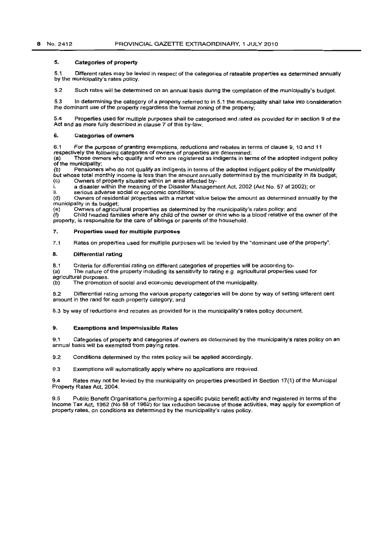#### 5. Categories of property

5.1 Different rates may be levied In respect of the categories of rateable properties as determined annually by the municipality's rates policy.

5.2 Such rates will be determined on an annual basis during the compilation of the municipality's budget

5.3 In determining the category of a property referred to in 5.1 the municipality shall take into consideration the dominant use of the property regardless the formal zoning of the property;

5.4 Properties used for multiple purposes shall be categorised and rated as provided for in section 9 of the Act and as more fully described in clause 7 of this by-law.

#### 6. Categories of owners

6.1 For the purpose of granting exemptions, reductions and rebates in terms of clause 9. 10 and 11 respectively the following categories of owners of properties are determined:

(a) Those owners who qualify and who are registered as indigents in terms of the adopted indigent policy of the municipality:<br>(b) Pensioners

Pensioners who do not qualify as indigents in terms of the adopted indigent policy of the municipality but whose total monthly income is less than the amount annually determined by the municipality in its budget;<br>(c) Owners of property situated within an area affected by-Owners of property situated within an area affected by-

 $\hat{i}$  a disaster within the meaning of the Disaster Management Act, 2002 (Act No. 57 of 2002); or  $\hat{i}$ 

ii. serious adverse social or economic conditions;<br>(d) Owners of residential properties with a market

Owners of residential properties with a market value below the amount as determined annually by the municipality In its budget;

(e) Owners of agricultural properties as determined by the municipality's rates policy; and

(f) Child headed families where any child of the owner or child who is a blood relative of the owner of the property, is responsible for the care of siblings or parents of the household.

#### 7. Properties used for multiple purposes

7.1 Rates on properties used for multiple purposes will be levied by the "dominant use of the property".

#### S. Differential rating

8.1 Criteria for differential rating on different categories of properties will be according to-

(a) The nature of the property including its sensitivity to rating e,g. agricultural properties used for

agricultural purposes.

(b) The promotion of social and economic development of the municipality.

8.2 Differential rating among the various property categories will be done by way of setting different cent amount in the rand for each property category; and

8.3 by way of reductions and rebates as provided for in the municipality's rates policy document.

#### 9. Exemptions and Impermissible Rates

9.1 Categories of property and categories of owners as determined by the municipality's rates policy on an annual basis will be exempted from paying rates.

9.2 Conditions determined by the rates policy will be applied accordingly.

9.3 Exemptions will automatically apply where no applications are required.

9.4 Rates may not be levied by the municipality on properties prescribed in Section 17(1) of the Municipal Property Rates Act, 2004.

9.5 Public Benefit Organisations performing a specific public benefit activity and registered in terms of the Income Tax Act, 1962 (No 58 of 1962) for tax reduction because of those activities, may apply for exemption of property rates, on conditions as determined by the municipality's rates policy.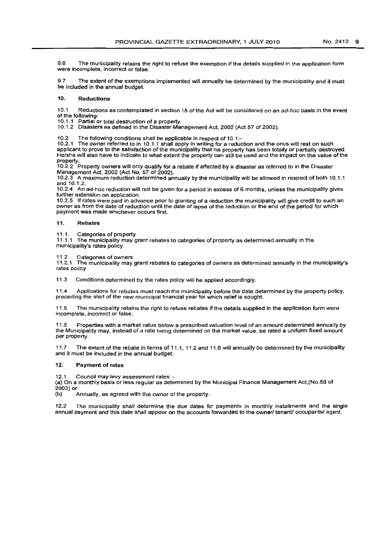9.6 The municipality retains the right to refuse the exemption if the details supplied in the application form were incomplete, incorrect or false.

9.7 The extent of the exemptions implemented will annually be determined by the municipality and it must be included in the annual budget.

#### 10. Reductions

10.1 Reductions as contemplated in section 15 of the Act will be considered on an ad-hoc basis in the event of the following:

10.1.1 Partial or total destruction of a property.

10.1.2 Disasters as defined In the Disaster Management Act, 2002 (Act 57 of 2002).

10,2 The following conditions shall be applicable in respect of 10.1:-

10.2.1 The owner referred to in 10.1.1 shall apply in writing for a reduction and the onus will rest on such applicant to prove to the satisfaction of the municipality that his property has been totally or partially destroyed. He/she will also have to indicate to what extent the property can still be used and the impact on the value of the property.

10.2.2 Property owners will only qualify for a rebate if affected by a disaster as referred to in the Disaster Management Act. 2002 (Act No. 57 of 2002).

10,2.3 A maximum reduction determined annually by the municipality wit! be allowed in respect of both 10,1.1 and 10.1.2.

10.2.4 An ad-hoc reduction Will not be given for a period in excess of 6 months, unless the municipality gives further extension on application.

10.2.5 If rates were paid in advance prior to granting of a reduction the municipality will give credit to such an owner as from the date of reduction until the date of lapse of the reduction or the end of the period for which payment was made whichever occurs first.

#### i1. Rebates

11.1. Categories of property

11.1.1 The municipality may grant rebates to categories of property as determined annually in the municipality'S rates policy.

11 .2 Categories of owners

11,2.1 The municipality may grant rebates to categories of owners as determined annually in the municipality's rates policy.

11.3 Conditions determined by the rates policy will be applied accordingly.

11.4 Applications for rebates must reach the municipality before the date determined by the property policy, preceding the start of the new municipal financial year for which relief is sought.

11.5 The municipality retains the right to refuse rebates if the details supplied in the application form were incomplete, incorrect or false.

11.6 Properties with a market value below a prescribed valuation level of an amount determined annually by the Municipality may, instead of a rate being determined on the market value, be rated a uniform fixed amount per property.

11.7 The extent of the rebate in terms of 11.1, 11.2 and 11.6 will annually be determined by the municipality and it must be included in the annual budget.

#### 12. Payment **of** rates

12.1 Council may levy assessment rates: -

(a) On a monthly basis or less regular as determined by the Municipal Finance Management Act,(No.56 of  $2003$ ) or<br>(b)

Annually, as agreed with the owner of the property.

12.2 The municipality shall determine the due dates for payments in monthly installments and the single annual payment and this date shall appear on the accounts forwarded to the owner/ tenant/ occupants/ agent.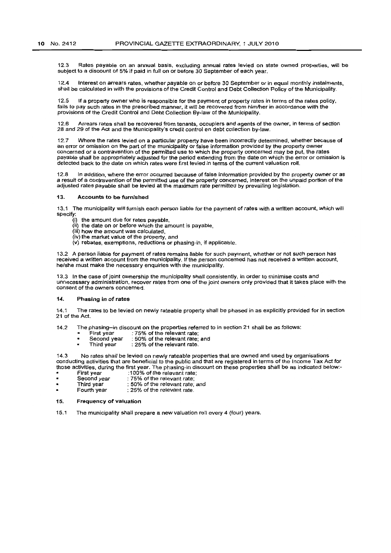12.3 Rates payable on an annual basis, excluding annual rates levied on state owned properties, will be subject to a discount of 5% if paid in full on or before 30 September of each year.

12.4 Interest on arrears rates, whether payable on or before 30 September or in equal monthly instalments. shall be calculated in with the provisions of the Credit Control and Debt Collection Policy of the Municipality.

12.5 If a property owner who is responsible for the payment of property rates in terms of the rates policy. fails to pay such rates in the prescribed manner, it will be recovered from himlher in accordance with the provisions of the Credit Control and Debt Collection By-law of the Municipality.

12.6 Arrears rates shall be recovered from tenants, occupiers and agents of the owner, in terms of section 28 and 29 of the Act and the Municipality's credit control en debt Collection by-law.

12.7 Where the rates levied on a particular property have been incorrectly determined. whether because of an error or omission on the part of the municipality or false information provided by the property owner concerned or a contravention of the permitted use to which the property concerned may be put, the rates payable shall be appropriately adjusted for the period extending from the date on which the error or omission is detected back to the date on which rates were first levied in terms of the current valuation roll.

12.8 In addition, where the error occurred because of false information provided by the property owner or as a result of a contravention of the permitted use of the property concerned. interest on the unpaid portion of the adjusted rates payable shall be levied at the maximum rate permitted by prevailing legislation.

#### 13. Accounts to be furnished

13.1 The municipality will furnish each person liable for the payment of rates with a written account, which will specify:

- the amount due for rates payable.
- $(ii)$  the date on or before which the amount is payable.
- (iii) how the amount was calculated,
- (iv) the market value of the property. and
- (v) rebates, exemptions, reductions or phasing-in. if applicable.

13.2 A person liable for payment of rates remains liable for such payment, whether or not such person has received a written account from the municipality. If the person concerned has not received a written account, he/she must make the necessary enquiries with the municipality.

13.3 In the case of joint ownership the municipality shall consistently, in order to minimise costs and unnecessary administration, recover rates from one of the joint owners only provided that it takes place with the consent of the owners concemed.

#### 14. Phasing in of rates

14.1 The rates to be leVied on newly rateable property shall be phased in as explicitly provided for in section 21 of the Act.

- 14.2 The phasing-in discount on the properties referred to in section 21 shall be as follows:<br>First year : 75% of the relevant rate;
	- First year : 75% of the relevant rate;<br>Second year : 50% of the relevant rate;
	- $\blacksquare$ Second year : 50% of the relevant rate; and<br>Third year : 25% of the relevant rate.
		- : 25% of the relevant rate.

14.3 No rates shall be levied on newly rateable properties that are owned and used by organisations conducting activities that are beneficial to the public and that are registered in terms of the Income Tax Act for those activities, during the first year. The phasing-in discount on these properties shall be as indicated below:-

- First year :100% of the relevant rate;<br>Second year : 75% of the relevant rate;
- Second year : 75% of the relevant rate;<br>Third year : 50% of the relevant rate; Finind year : 50% of the relevant rate; and<br>Fourth year : 25% of the relevant rate.
- $: 25\%$  of the relevant rate.
- 15. Frequency of valuation
- 15.1 The municipality shall prepare a new valuation roll every 4 (four) years.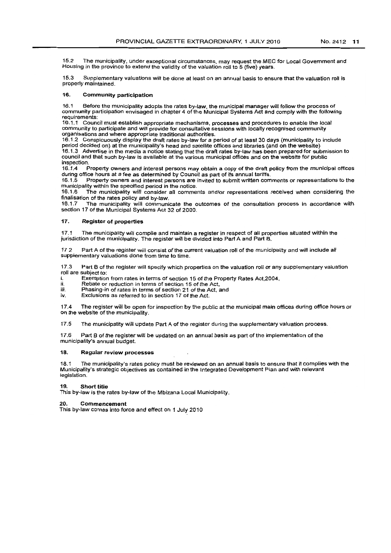15.2 The municipality. under exceptional circumstances, may request the MEC for Local Govemment and Housing in the province to extend the validity of the valuatlon roll to 5 (five) years.

15.3 Supplementary valuations will be done af least on an annual basis to ensure that the valuation roll is properly maintained.

#### 16. Community participation

16.1 Before the municipality adopts the rates by-law. the municipal manager will follow the process of community participation envisaged in chapter 4 of the Municipal Systems Act and comply with the following requirements:

16.1.1 Council must establish appropriate mechanisms, processes and procedures to enable the local community to participate and will provide for consultative sessions with locally recognised community organisations and where appropriate traditional authorities.

16.1.2 Conspicuously display the draft rates by-law for a period of at least 30 days (municipality to include period decided on) at the municipality's head and satellite offices and libraries (and on the website) 16.1.3 Advertise in the media a notice stating that the draft rates by-law has been prepared for submisSion to council and that such by-law is avaifable at the various municipal offices and on the website for public

inspection.<br>16.1.4 F 16.1.4 Property owners and interest persons may obtain a copy of the draft policy from the municipal offices during office hours at a fee as determined by Council as part of its annual tariffs.<br>16.1.5 Property owners and interest persons are invited to submit written com

Property owners and interest persons are invited to submit written comments or representations to the

municipality within the specified period in the notice.<br>16.1.6 The municipality will consider all comme The municipality will consider all comments and/or representations received when considering the finalisation of the rates policy and by-law.<br>16.1.7 The municipality will communic

The municipality will communicate the outcomes of the consultation process in accordance with section 17 of the Municipal Systems Act 32 of 2000.

#### 17. Register of properties

17.1 The municipality will compile and maintain a register in respect of ali properties Situated within the jurisdiction of the municipality. The register will be divided into Part A and Part B.

17.2 Part A of the register will consist of the current valuation (011 of the municipality and will include all supplementary valuations done from time to time.

17.3 Part B of the register will specify which properties on the valuation roll or any supplementary valuation roll are subject to:

i. Exemption from rates in terms of section 15 of the Property Rates Act, 2004,  $\ddot{\textbf{i}}$ 

ii. Rebate or reduction in terms of section 15 of the Act,<br>iii. Phasing-in of rates in terms of section 21 of the Act.

iii. Phasing-in of rates in terms of section 21 of the Act, and  $iv = Exclusions$  as referred to in section 17 of the Act

Exclusions as referred to in section 17 of the Act.

17.4 The register will be open for inspection by the public at the municipal main offices during office hours or on the website of the municipality.

17.5 The municipality will update Part A of the register during the supplementary valuation process.

17.6 Part B of the register will be updated on an annual basis as part of the implementation of the municipality's annual budget

#### 18. Regular revIew processes

18.1 The municipality's rates polley must be reviewed an an annual basis to ensure that it complies with the Municipality's strategiC objectives as contained in the Integrated Development Plan and with relevant legislation.

#### 19. Short title

This by-law is the rates by-law of the Mbizana Local Municipality.

#### 20. Commencement

This by-law comes into force and effect on 1 July 2010